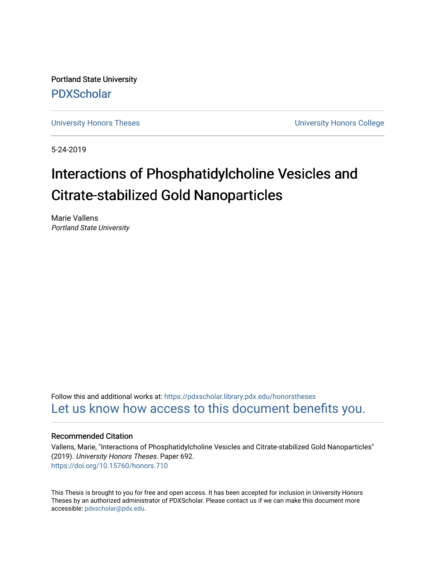Portland State University [PDXScholar](https://pdxscholar.library.pdx.edu/)

[University Honors Theses](https://pdxscholar.library.pdx.edu/honorstheses) [University Honors College](https://pdxscholar.library.pdx.edu/honors) 

5-24-2019

# Interactions of Phosphatidylcholine Vesicles and Citrate-stabilized Gold Nanoparticles

Marie Vallens Portland State University

Follow this and additional works at: [https://pdxscholar.library.pdx.edu/honorstheses](https://pdxscholar.library.pdx.edu/honorstheses?utm_source=pdxscholar.library.pdx.edu%2Fhonorstheses%2F692&utm_medium=PDF&utm_campaign=PDFCoverPages)  [Let us know how access to this document benefits you.](http://library.pdx.edu/services/pdxscholar-services/pdxscholar-feedback/) 

#### Recommended Citation

Vallens, Marie, "Interactions of Phosphatidylcholine Vesicles and Citrate-stabilized Gold Nanoparticles" (2019). University Honors Theses. Paper 692. <https://doi.org/10.15760/honors.710>

This Thesis is brought to you for free and open access. It has been accepted for inclusion in University Honors Theses by an authorized administrator of PDXScholar. Please contact us if we can make this document more accessible: [pdxscholar@pdx.edu.](mailto:pdxscholar@pdx.edu)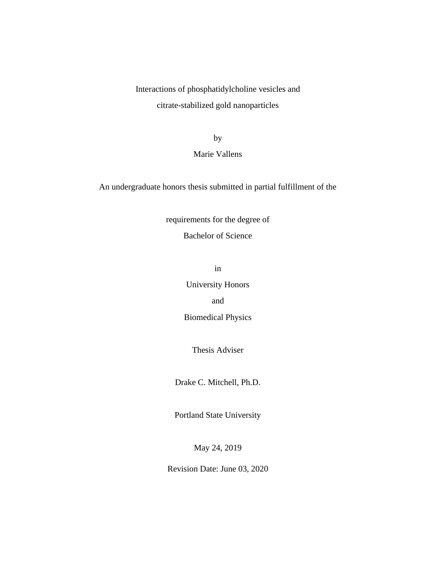Interactions of phosphatidylcholine vesicles and citrate-stabilized gold nanoparticles

by

## Marie Vallens

An undergraduate honors thesis submitted in partial fulfillment of the

requirements for the degree of Bachelor of Science

in

University Honors

and

Biomedical Physics

Thesis Adviser

Drake C. Mitchell, Ph.D.

Portland State University

May 24, 2019

Revision Date: June 03, 2020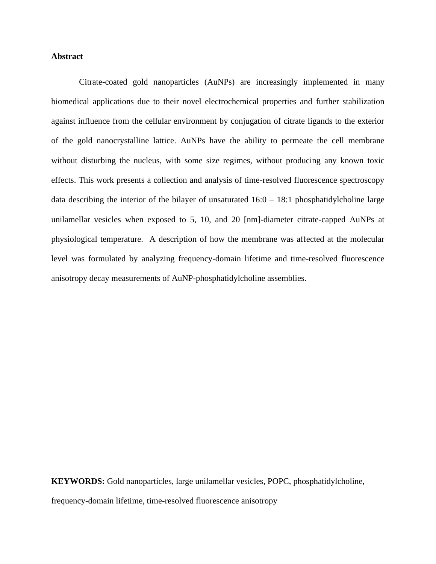### **Abstract**

Citrate-coated gold nanoparticles (AuNPs) are increasingly implemented in many biomedical applications due to their novel electrochemical properties and further stabilization against influence from the cellular environment by conjugation of citrate ligands to the exterior of the gold nanocrystalline lattice. AuNPs have the ability to permeate the cell membrane without disturbing the nucleus, with some size regimes, without producing any known toxic effects. This work presents a collection and analysis of time-resolved fluorescence spectroscopy data describing the interior of the bilayer of unsaturated  $16:0 - 18:1$  phosphatidylcholine large unilamellar vesicles when exposed to 5, 10, and 20 [nm]-diameter citrate-capped AuNPs at physiological temperature. A description of how the membrane was affected at the molecular level was formulated by analyzing frequency-domain lifetime and time-resolved fluorescence anisotropy decay measurements of AuNP-phosphatidylcholine assemblies.

**KEYWORDS:** Gold nanoparticles, large unilamellar vesicles, POPC, phosphatidylcholine, frequency-domain lifetime, time-resolved fluorescence anisotropy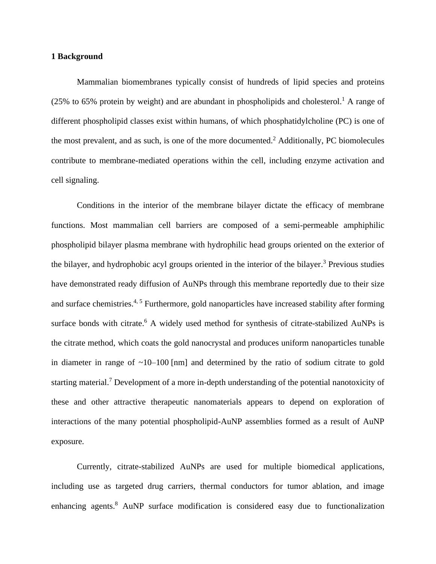#### **1 Background**

Mammalian biomembranes typically consist of hundreds of lipid species and proteins (25% to 65% protein by weight) and are abundant in phospholipids and cholesterol.<sup>1</sup> A range of different phospholipid classes exist within humans, of which phosphatidylcholine (PC) is one of the most prevalent, and as such, is one of the more documented.<sup>2</sup> Additionally, PC biomolecules contribute to membrane-mediated operations within the cell, including enzyme activation and cell signaling.

Conditions in the interior of the membrane bilayer dictate the efficacy of membrane functions. Most mammalian cell barriers are composed of a semi-permeable amphiphilic phospholipid bilayer plasma membrane with hydrophilic head groups oriented on the exterior of the bilayer, and hydrophobic acyl groups oriented in the interior of the bilayer. <sup>3</sup> Previous studies have demonstrated ready diffusion of AuNPs through this membrane reportedly due to their size and surface chemistries.<sup>4, 5</sup> Furthermore, gold nanoparticles have increased stability after forming surface bonds with citrate.<sup>6</sup> A widely used method for synthesis of citrate-stabilized AuNPs is the citrate method, which coats the gold nanocrystal and produces uniform nanoparticles tunable in diameter in range of  $\sim 10-100$  [nm] and determined by the ratio of sodium citrate to gold starting material.<sup>7</sup> Development of a more in-depth understanding of the potential nanotoxicity of these and other attractive therapeutic nanomaterials appears to depend on exploration of interactions of the many potential phospholipid-AuNP assemblies formed as a result of AuNP exposure.

Currently, citrate-stabilized AuNPs are used for multiple biomedical applications, including use as targeted drug carriers, thermal conductors for tumor ablation, and image enhancing agents. <sup>8</sup> AuNP surface modification is considered easy due to functionalization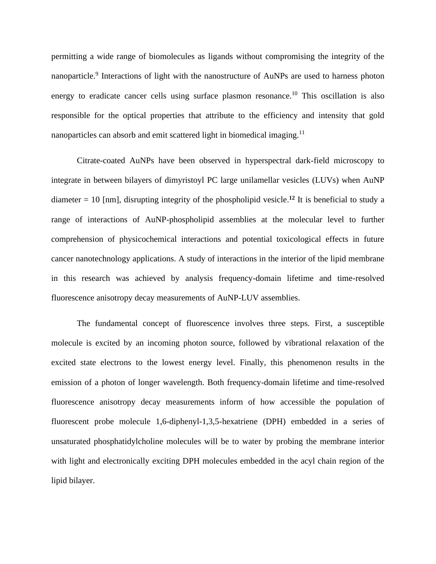permitting a wide range of biomolecules as ligands without compromising the integrity of the nanoparticle.<sup>9</sup> Interactions of light with the nanostructure of AuNPs are used to harness photon energy to eradicate cancer cells using surface plasmon resonance.<sup>10</sup> This oscillation is also responsible for the optical properties that attribute to the efficiency and intensity that gold nanoparticles can absorb and emit scattered light in biomedical imaging.<sup>11</sup>

Citrate-coated AuNPs have been observed in hyperspectral dark-field microscopy to integrate in between bilayers of dimyristoyl PC large unilamellar vesicles (LUVs) when AuNP diameter  $= 10$  [nm], disrupting integrity of the phospholipid vesicle.<sup>12</sup> It is beneficial to study a range of interactions of AuNP-phospholipid assemblies at the molecular level to further comprehension of physicochemical interactions and potential toxicological effects in future cancer nanotechnology applications. A study of interactions in the interior of the lipid membrane in this research was achieved by analysis frequency-domain lifetime and time-resolved fluorescence anisotropy decay measurements of AuNP-LUV assemblies.

The fundamental concept of fluorescence involves three steps. First, a susceptible molecule is excited by an incoming photon source, followed by vibrational relaxation of the excited state electrons to the lowest energy level. Finally, this phenomenon results in the emission of a photon of longer wavelength. Both frequency-domain lifetime and time-resolved fluorescence anisotropy decay measurements inform of how accessible the population of fluorescent probe molecule 1,6-diphenyl-1,3,5-hexatriene (DPH) embedded in a series of unsaturated phosphatidylcholine molecules will be to water by probing the membrane interior with light and electronically exciting DPH molecules embedded in the acyl chain region of the lipid bilayer.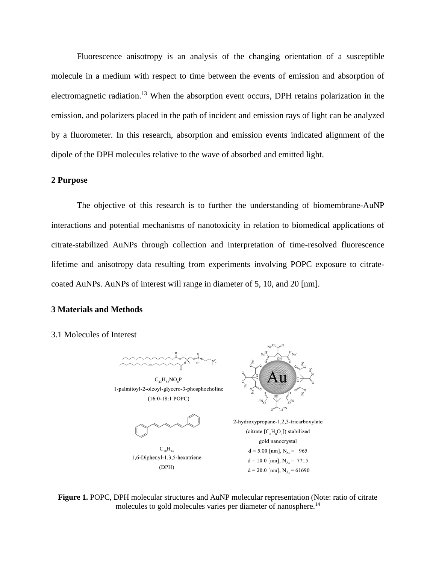Fluorescence anisotropy is an analysis of the changing orientation of a susceptible molecule in a medium with respect to time between the events of emission and absorption of electromagnetic radiation.<sup>13</sup> When the absorption event occurs, DPH retains polarization in the emission, and polarizers placed in the path of incident and emission rays of light can be analyzed by a fluorometer. In this research, absorption and emission events indicated alignment of the dipole of the DPH molecules relative to the wave of absorbed and emitted light.

#### **2 Purpose**

The objective of this research is to further the understanding of biomembrane-AuNP interactions and potential mechanisms of nanotoxicity in relation to biomedical applications of citrate-stabilized AuNPs through collection and interpretation of time-resolved fluorescence lifetime and anisotropy data resulting from experiments involving POPC exposure to citratecoated AuNPs. AuNPs of interest will range in diameter of 5, 10, and 20 [nm].

## **3 Materials and Methods**

#### 3.1 Molecules of Interest



 $C_{42}H_{82}NO_8P$ 1-palmitoyl-2-oleoyl-glycero-3-phosphocholine  $(16:0-18:1$  POPC)



 $C_{18}H_{16}$ 1,6-Diphenyl-1,3,5-hexatriene  $(DPH)$ 



2-hydroxypropane-1,2,3-tricarboxylate (citrate  $[C_6H_8O_7]$ ) stabilized gold nanocrystal  $d = 5.00$  [nm],  $N_{Au} = 965$  $d = 10.0$  [nm],  $N_{Au} = 7715$  $d = 20.0$  [nm],  $N_{Au} = 61690$ 

**Figure 1.** POPC, DPH molecular structures and AuNP molecular representation (Note: ratio of citrate molecules to gold molecules varies per diameter of nanosphere.<sup>14</sup>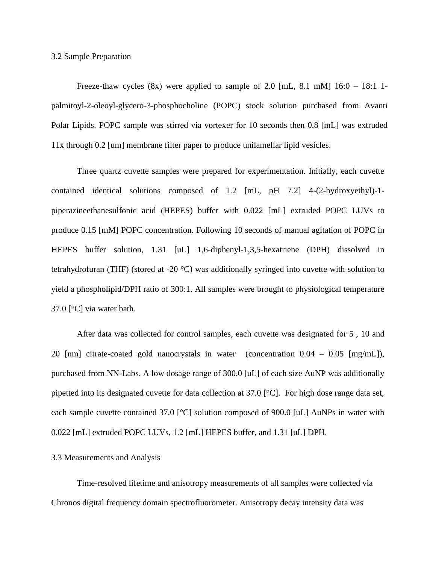#### 3.2 Sample Preparation

Freeze-thaw cycles  $(8x)$  were applied to sample of 2.0 [mL, 8.1 mM]  $16:0 - 18:1$  1palmitoyl-2-oleoyl-glycero-3-phosphocholine (POPC) stock solution purchased from Avanti Polar Lipids. POPC sample was stirred via vortexer for 10 seconds then 0.8 [mL] was extruded 11x through 0.2 [um] membrane filter paper to produce unilamellar lipid vesicles.

Three quartz cuvette samples were prepared for experimentation. Initially, each cuvette contained identical solutions composed of 1.2 [mL, pH 7.2] 4-(2-hydroxyethyl)-1 piperazineethanesulfonic acid (HEPES) buffer with 0.022 [mL] extruded POPC LUVs to produce 0.15 [mM] POPC concentration. Following 10 seconds of manual agitation of POPC in HEPES buffer solution, 1.31 [uL] 1,6-diphenyl-1,3,5-hexatriene (DPH) dissolved in tetrahydrofuran (THF) (stored at -20 °C) was additionally syringed into cuvette with solution to yield a phospholipid/DPH ratio of 300:1. All samples were brought to physiological temperature 37.0 [°C] via water bath.

After data was collected for control samples, each cuvette was designated for 5 , 10 and 20 [nm] citrate-coated gold nanocrystals in water (concentration 0.04 – 0.05 [mg/mL]), purchased from NN-Labs. A low dosage range of 300.0 [uL] of each size AuNP was additionally pipetted into its designated cuvette for data collection at 37.0 [°C]. For high dose range data set, each sample cuvette contained 37.0 [°C] solution composed of 900.0 [uL] AuNPs in water with 0.022 [mL] extruded POPC LUVs, 1.2 [mL] HEPES buffer, and 1.31 [uL] DPH.

#### 3.3 Measurements and Analysis

Time-resolved lifetime and anisotropy measurements of all samples were collected via Chronos digital frequency domain spectrofluorometer. Anisotropy decay intensity data was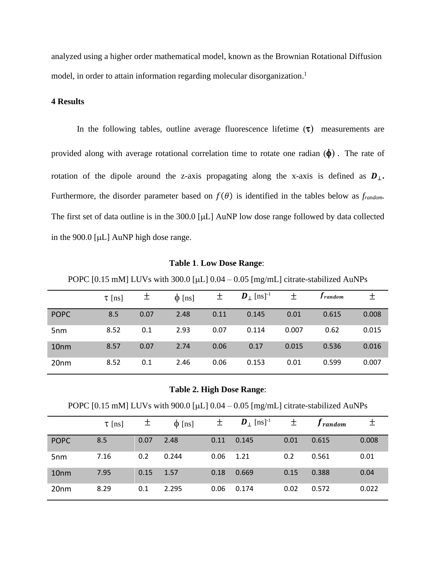analyzed using a higher order mathematical model, known as the Brownian Rotational Diffusion model, in order to attain information regarding molecular disorganization.<sup>1</sup>

## **4 Results**

In the following tables, outline average fluorescence lifetime  $(\tau)$  measurements are provided along with average rotational correlation time to rotate one radian  $(\phi)$ . The rate of rotation of the dipole around the z-axis propagating along the x-axis is defined as  $D_{\perp}$ . Furthermore, the disorder parameter based on  $f(\theta)$  is identified in the tables below as *frandom*. The first set of data outline is in the  $300.0$  [ $\mu$ L] AuNP low dose range followed by data collected in the  $900.0$  [ $\mu$ L] AuNP high dose range.

#### **Table 1**. **Low Dose Range**:

POPC [0.15 mM] LUVs with 300.0 [ $\mu$ L] 0.04 – 0.05 [mg/mL] citrate-stabilized AuNPs

|                  | $\tau$ [ns] | 土    | $\phi$ [ns] | 土    | $\boldsymbol{D}_{\perp}$ [ns] <sup>-1</sup> | 土     | <i>I</i> random | +     |
|------------------|-------------|------|-------------|------|---------------------------------------------|-------|-----------------|-------|
| <b>POPC</b>      | 8.5         | 0.07 | 2.48        | 0.11 | 0.145                                       | 0.01  | 0.615           | 0.008 |
| 5 <sub>nm</sub>  | 8.52        | 0.1  | 2.93        | 0.07 | 0.114                                       | 0.007 | 0.62            | 0.015 |
| 10 <sub>nm</sub> | 8.57        | 0.07 | 2.74        | 0.06 | 0.17                                        | 0.015 | 0.536           | 0.016 |
| 20 <sub>nm</sub> | 8.52        | 0.1  | 2.46        | 0.06 | 0.153                                       | 0.01  | 0.599           | 0.007 |

**Table 2. High Dose Range**:

POPC [0.15 mM] LUVs with 900.0 [ $\mu$ L] 0.04 – 0.05 [mg/mL] citrate-stabilized AuNPs

|                  | $\tau$ [ns] | 土    | $\phi$ [ns] | 土    | $\boldsymbol{D}_{\perp}$ [ns] <sup>-1</sup> | 土    | $f_{random}$ | 土     |
|------------------|-------------|------|-------------|------|---------------------------------------------|------|--------------|-------|
| <b>POPC</b>      | 8.5         | 0.07 | 2.48        | 0.11 | 0.145                                       | 0.01 | 0.615        | 0.008 |
| 5 <sub>nm</sub>  | 7.16        | 0.2  | 0.244       | 0.06 | 1.21                                        | 0.2  | 0.561        | 0.01  |
| 10 <sub>nm</sub> | 7.95        | 0.15 | 1.57        | 0.18 | 0.669                                       | 0.15 | 0.388        | 0.04  |
| 20 <sub>nm</sub> | 8.29        | 0.1  | 2.295       | 0.06 | 0.174                                       | 0.02 | 0.572        | 0.022 |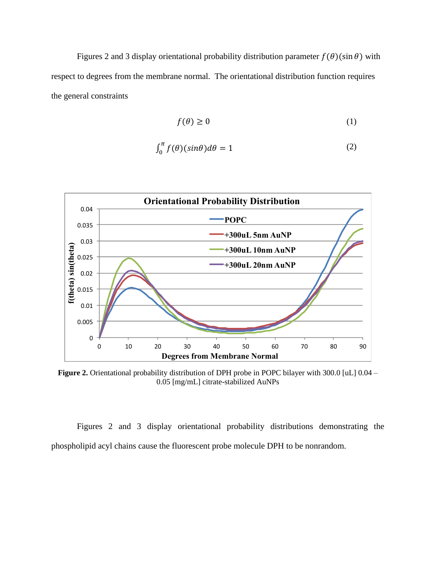Figures 2 and 3 display orientational probability distribution parameter  $f(\theta)(\sin \theta)$  with respect to degrees from the membrane normal. The orientational distribution function requires the general constraints

$$
f(\theta) \ge 0 \tag{1}
$$

$$
\int_0^{\pi} f(\theta)(\sin \theta) d\theta = 1 \tag{2}
$$



**Figure 2.** Orientational probability distribution of DPH probe in POPC bilayer with 300.0 [uL] 0.04 – 0.05 [mg/mL] citrate-stabilized AuNPs

Figures 2 and 3 display orientational probability distributions demonstrating the phospholipid acyl chains cause the fluorescent probe molecule DPH to be nonrandom.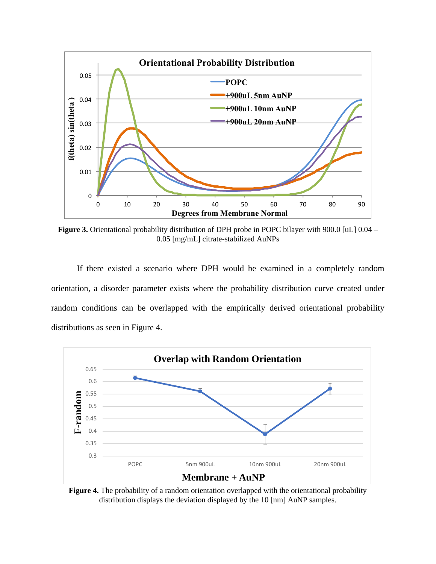

**Figure 3.** Orientational probability distribution of DPH probe in POPC bilayer with 900.0 [uL] 0.04 – 0.05 [mg/mL] citrate-stabilized AuNPs

If there existed a scenario where DPH would be examined in a completely random orientation, a disorder parameter exists where the probability distribution curve created under random conditions can be overlapped with the empirically derived orientational probability distributions as seen in Figure 4.



**Figure 4.** The probability of a random orientation overlapped with the orientational probability distribution displays the deviation displayed by the 10 [nm] AuNP samples.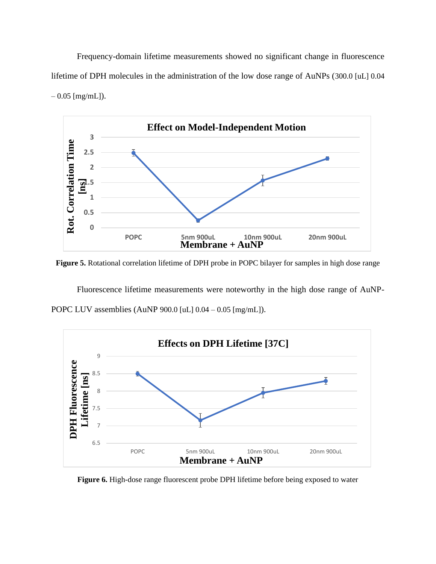Frequency-domain lifetime measurements showed no significant change in fluorescence lifetime of DPH molecules in the administration of the low dose range of AuNPs (300.0 [uL] 0.04  $-0.05$  [mg/mL]).



**Figure 5.** Rotational correlation lifetime of DPH probe in POPC bilayer for samples in high dose range

Fluorescence lifetime measurements were noteworthy in the high dose range of AuNP-POPC LUV assemblies (AuNP 900.0 [uL] 0.04 – 0.05 [mg/mL]).



**Figure 6.** High-dose range fluorescent probe DPH lifetime before being exposed to water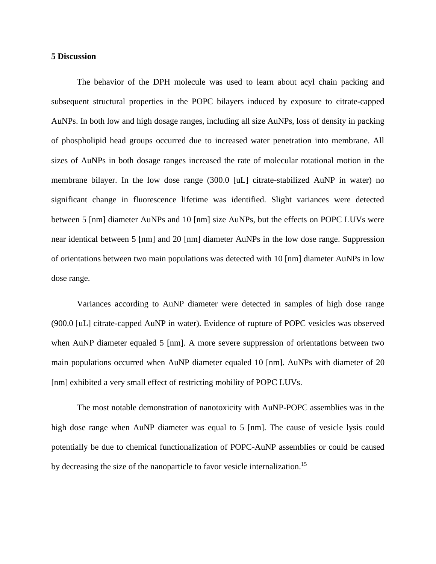#### **5 Discussion**

The behavior of the DPH molecule was used to learn about acyl chain packing and subsequent structural properties in the POPC bilayers induced by exposure to citrate-capped AuNPs. In both low and high dosage ranges, including all size AuNPs, loss of density in packing of phospholipid head groups occurred due to increased water penetration into membrane. All sizes of AuNPs in both dosage ranges increased the rate of molecular rotational motion in the membrane bilayer. In the low dose range (300.0 [uL] citrate-stabilized AuNP in water) no significant change in fluorescence lifetime was identified. Slight variances were detected between 5 [nm] diameter AuNPs and 10 [nm] size AuNPs, but the effects on POPC LUVs were near identical between 5 [nm] and 20 [nm] diameter AuNPs in the low dose range. Suppression of orientations between two main populations was detected with 10 [nm] diameter AuNPs in low dose range.

Variances according to AuNP diameter were detected in samples of high dose range (900.0 [uL] citrate-capped AuNP in water). Evidence of rupture of POPC vesicles was observed when AuNP diameter equaled 5 [nm]. A more severe suppression of orientations between two main populations occurred when AuNP diameter equaled 10 [nm]. AuNPs with diameter of 20 [nm] exhibited a very small effect of restricting mobility of POPC LUVs.

The most notable demonstration of nanotoxicity with AuNP-POPC assemblies was in the high dose range when AuNP diameter was equal to 5 [nm]. The cause of vesicle lysis could potentially be due to chemical functionalization of POPC-AuNP assemblies or could be caused by decreasing the size of the nanoparticle to favor vesicle internalization.<sup>15</sup>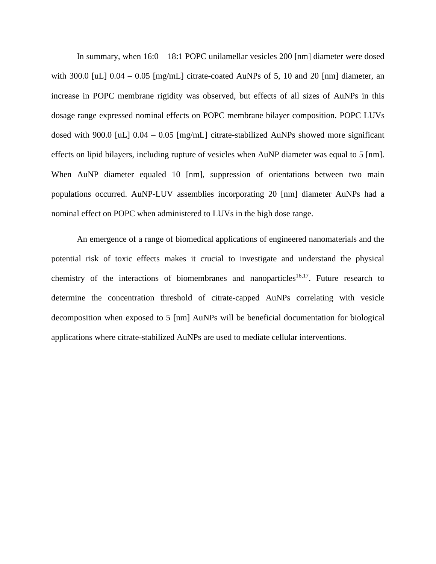In summary, when 16:0 – 18:1 POPC unilamellar vesicles 200 [nm] diameter were dosed with 300.0  $\lceil \text{uL} \rceil$  0.04 – 0.05  $\lceil \text{mg/mL} \rceil$  citrate-coated AuNPs of 5, 10 and 20  $\lceil \text{nm} \rceil$  diameter, an increase in POPC membrane rigidity was observed, but effects of all sizes of AuNPs in this dosage range expressed nominal effects on POPC membrane bilayer composition. POPC LUVs dosed with 900.0 [uL] 0.04 – 0.05 [mg/mL] citrate-stabilized AuNPs showed more significant effects on lipid bilayers, including rupture of vesicles when AuNP diameter was equal to 5 [nm]. When AuNP diameter equaled 10 [nm], suppression of orientations between two main populations occurred. AuNP-LUV assemblies incorporating 20 [nm] diameter AuNPs had a nominal effect on POPC when administered to LUVs in the high dose range.

An emergence of a range of biomedical applications of engineered nanomaterials and the potential risk of toxic effects makes it crucial to investigate and understand the physical chemistry of the interactions of biomembranes and nanoparticles<sup>16,17</sup>. Future research to determine the concentration threshold of citrate-capped AuNPs correlating with vesicle decomposition when exposed to 5 [nm] AuNPs will be beneficial documentation for biological applications where citrate-stabilized AuNPs are used to mediate cellular interventions.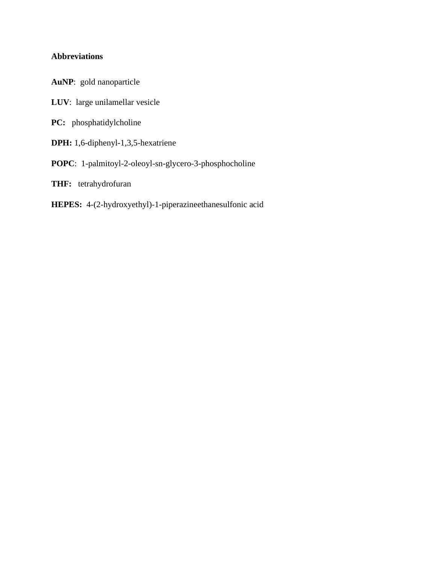## **Abbreviations**

- **AuNP**: gold nanoparticle
- **LUV**: large unilamellar vesicle
- **PC:** phosphatidylcholine
- **DPH:** 1,6-diphenyl-1,3,5-hexatriene
- **POPC**: 1-palmitoyl-2-oleoyl-sn-glycero-3-phosphocholine
- **THF:** tetrahydrofuran
- **HEPES:** 4-(2-hydroxyethyl)-1-piperazineethanesulfonic acid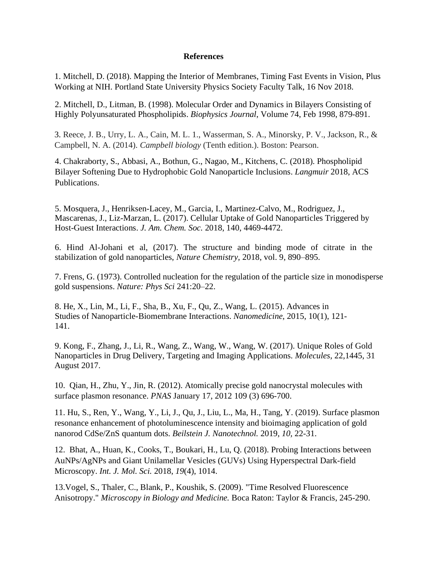### **References**

1. Mitchell, D. (2018). Mapping the Interior of Membranes, Timing Fast Events in Vision, Plus Working at NIH. Portland State University Physics Society Faculty Talk, 16 Nov 2018.

2. Mitchell, D., Litman, B. (1998). Molecular Order and Dynamics in Bilayers Consisting of Highly Polyunsaturated Phospholipids. *Biophysics Journal*, Volume 74, Feb 1998, 879-891.

3. Reece, J. B., Urry, L. A., Cain, M. L. 1., Wasserman, S. A., Minorsky, P. V., Jackson, R., & Campbell, N. A. (2014). *Campbell biology* (Tenth edition.). Boston: Pearson.

4. Chakraborty, S., Abbasi, A., Bothun, G., Nagao, M., Kitchens, C. (2018). Phospholipid Bilayer Softening Due to Hydrophobic Gold Nanoparticle Inclusions. *Langmuir* 2018, ACS Publications.

5. Mosquera, J., Henriksen-Lacey, M., Garcia, I., Martinez-Calvo, M., Rodriguez, J., Mascarenas, J., Liz-Marzan, L. (2017). Cellular Uptake of Gold Nanoparticles Triggered by Host-Guest Interactions. *J. Am. Chem. Soc.* 2018, 140, 4469-4472.

6. Hind Al-Johani et al, (2017). The structure and binding mode of citrate in the stabilization of gold nanoparticles, *Nature Chemistry,* 2018, vol. 9, 890–895.

7. Frens, G. (1973). Controlled nucleation for the regulation of the particle size in monodisperse gold suspensions. *Nature: Phys Sci* 241:20–22.

8. He, X., Lin, M., Li, F., Sha, B., Xu, F., Qu, Z., Wang, L. (2015). Advances in Studies of Nanoparticle-Biomembrane Interactions. *Nanomedicine*, 2015, 10(1), 121- 141.

9. Kong, F., Zhang, J., Li, R., Wang, Z., Wang, W., Wang, W. (2017). Unique Roles of Gold Nanoparticles in Drug Delivery, Targeting and Imaging Applications. *Molecules*, 22,1445, 31 August 2017.

10. Qian, H., Zhu, Y., Jin, R. (2012). Atomically precise gold nanocrystal molecules with surface plasmon resonance. *PNAS* January 17, 2012 109 (3) 696-700.

11. Hu, S., Ren, Y., Wang, Y., Li, J., Qu, J., Liu, L., Ma, H., Tang, Y. (2019). Surface plasmon resonance enhancement of photoluminescence intensity and bioimaging application of gold nanorod CdSe/ZnS quantum dots. *Beilstein J. Nanotechnol.* 2019, *10,* 22-31.

12. Bhat, A., Huan, K., Cooks, T., Boukari, H., Lu, Q. (2018). Probing Interactions between AuNPs/AgNPs and Giant Unilamellar Vesicles (GUVs) Using Hyperspectral Dark-field Microscopy. *Int. J. Mol. Sci.* 2018, *19*(4), 1014.

13.Vogel, S., Thaler, C., Blank, P., Koushik, S. (2009). "Time Resolved Fluorescence Anisotropy." *Microscopy in Biology and Medicine.* Boca Raton: Taylor & Francis, 245-290.